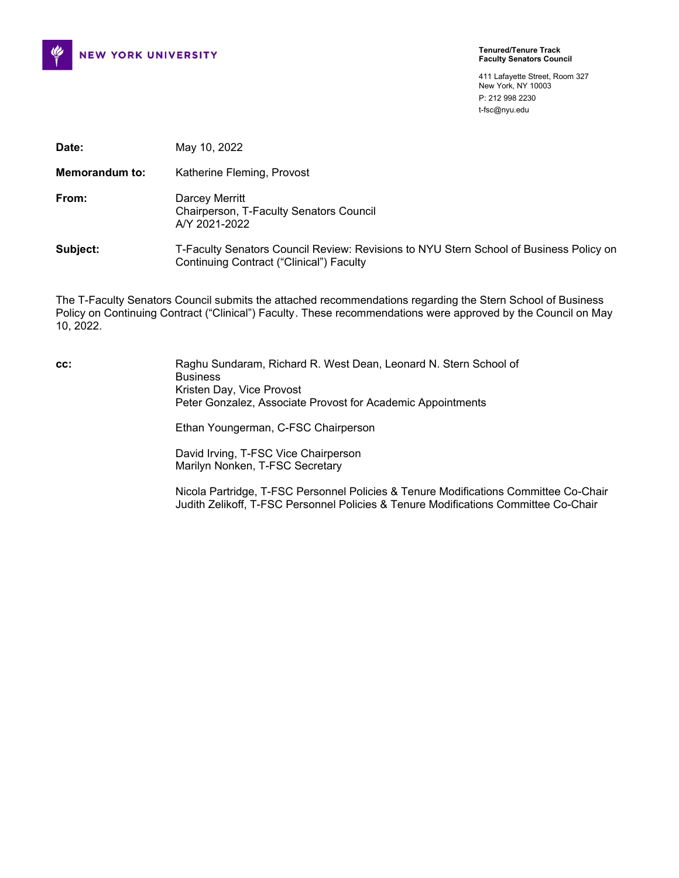

411 Lafayette Street, Room 327 New York, NY 10003 P: 212 998 2230 t-fsc@nyu.edu

| Date:          | May 10, 2022                                                                                                                              |
|----------------|-------------------------------------------------------------------------------------------------------------------------------------------|
| Memorandum to: | Katherine Fleming, Provost                                                                                                                |
| From:          | Darcey Merritt<br>Chairperson, T-Faculty Senators Council<br>A/Y 2021-2022                                                                |
| Subject:       | T-Faculty Senators Council Review: Revisions to NYU Stern School of Business Policy on<br><b>Continuing Contract ("Clinical") Faculty</b> |

The T-Faculty Senators Council submits the attached recommendations regarding the Stern School of Business Policy on Continuing Contract ("Clinical") Faculty. These recommendations were approved by the Council on May 10, 2022.

**cc:** Raghu Sundaram, Richard R. West Dean, Leonard N. Stern School of Business Kristen Day, Vice Provost Peter Gonzalez, Associate Provost for Academic Appointments Ethan Youngerman, C-FSC Chairperson David Irving, T-FSC Vice Chairperson Marilyn Nonken, T-FSC Secretary

Nicola Partridge, T-FSC Personnel Policies & Tenure Modifications Committee Co-Chair Judith Zelikoff, T-FSC Personnel Policies & Tenure Modifications Committee Co-Chair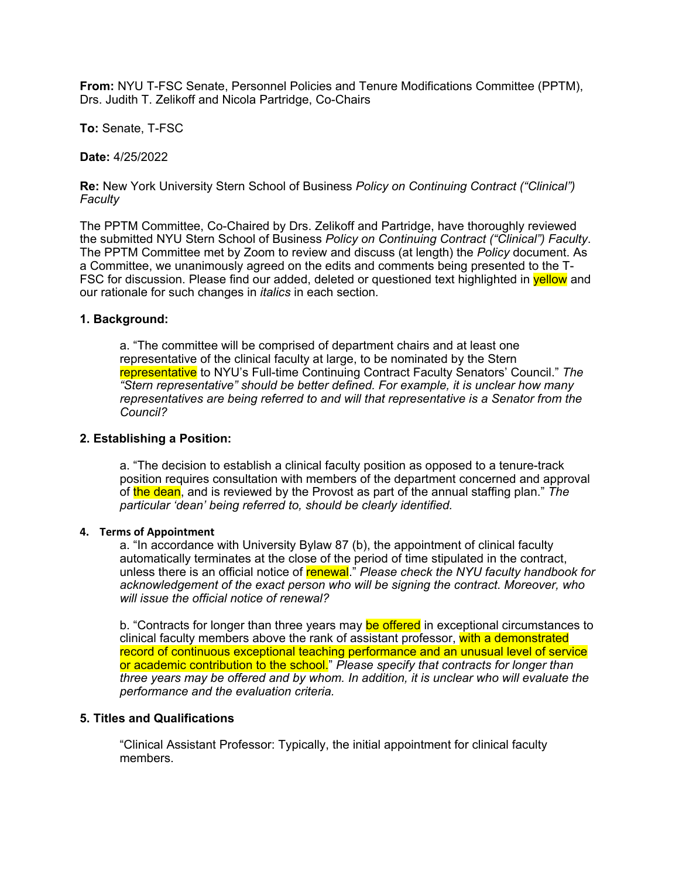**From:** NYU T-FSC Senate, Personnel Policies and Tenure Modifications Committee (PPTM), Drs. Judith T. Zelikoff and Nicola Partridge, Co-Chairs

**To:** Senate, T-FSC

**Date:** 4/25/2022

**Re:** New York University Stern School of Business *Policy on Continuing Contract ("Clinical") Faculty*

The PPTM Committee, Co-Chaired by Drs. Zelikoff and Partridge, have thoroughly reviewed the submitted NYU Stern School of Business *Policy on Continuing Contract ("Clinical") Faculty*. The PPTM Committee met by Zoom to review and discuss (at length) the *Policy* document. As a Committee, we unanimously agreed on the edits and comments being presented to the T-FSC for discussion. Please find our added, deleted or questioned text highlighted in **yellow** and our rationale for such changes in *italics* in each section*.*

## **1. Background:**

a. "The committee will be comprised of department chairs and at least one representative of the clinical faculty at large, to be nominated by the Stern representative to NYU's Full-time Continuing Contract Faculty Senators' Council." *The "Stern representative" should be better defined. For example, it is unclear how many representatives are being referred to and will that representative is a Senator from the Council?*

## **2. Establishing a Position:**

a. "The decision to establish a clinical faculty position as opposed to a tenure-track position requires consultation with members of the department concerned and approval of the dean, and is reviewed by the Provost as part of the annual staffing plan." *The particular 'dean' being referred to, should be clearly identified.*

## **4. Terms of Appointment**

a. "In accordance with University Bylaw 87 (b), the appointment of clinical faculty automatically terminates at the close of the period of time stipulated in the contract, unless there is an official notice of renewal." *Please check the NYU faculty handbook for acknowledgement of the exact person who will be signing the contract. Moreover, who will issue the official notice of renewal?*

b. "Contracts for longer than three years may be offered in exceptional circumstances to clinical faculty members above the rank of assistant professor, with a demonstrated record of continuous exceptional teaching performance and an unusual level of service or academic contribution to the school." *Please specify that contracts for longer than three years may be offered and by whom. In addition, it is unclear who will evaluate the performance and the evaluation criteria.*

## **5. Titles and Qualifications**

"Clinical Assistant Professor: Typically, the initial appointment for clinical faculty members.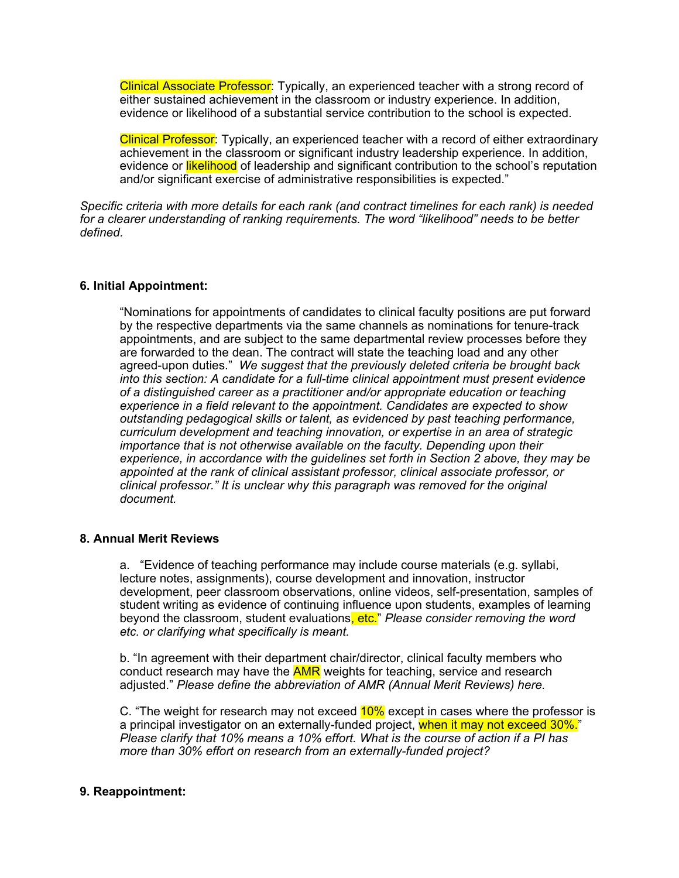Clinical Associate Professor: Typically, an experienced teacher with a strong record of either sustained achievement in the classroom or industry experience. In addition, evidence or likelihood of a substantial service contribution to the school is expected.

Clinical Professor: Typically, an experienced teacher with a record of either extraordinary achievement in the classroom or significant industry leadership experience. In addition, evidence or likelihood of leadership and significant contribution to the school's reputation and/or significant exercise of administrative responsibilities is expected."

*Specific criteria with more details for each rank (and contract timelines for each rank) is needed for a clearer understanding of ranking requirements. The word "likelihood" needs to be better defined.*

## **6. Initial Appointment:**

"Nominations for appointments of candidates to clinical faculty positions are put forward by the respective departments via the same channels as nominations for tenure-track appointments, and are subject to the same departmental review processes before they are forwarded to the dean. The contract will state the teaching load and any other agreed-upon duties." *We suggest that the previously deleted criteria be brought back into this section: A candidate for a full-time clinical appointment must present evidence of a distinguished career as a practitioner and/or appropriate education or teaching experience in a field relevant to the appointment. Candidates are expected to show outstanding pedagogical skills or talent, as evidenced by past teaching performance, curriculum development and teaching innovation, or expertise in an area of strategic importance that is not otherwise available on the faculty. Depending upon their experience, in accordance with the guidelines set forth in Section 2 above, they may be appointed at the rank of clinical assistant professor, clinical associate professor, or clinical professor." It is unclear why this paragraph was removed for the original document.* 

## **8. Annual Merit Reviews**

a. "Evidence of teaching performance may include course materials (e.g. syllabi, lecture notes, assignments), course development and innovation, instructor development, peer classroom observations, online videos, self-presentation, samples of student writing as evidence of continuing influence upon students, examples of learning beyond the classroom, student evaluations, etc." *Please consider removing the word etc. or clarifying what specifically is meant.* 

b. "In agreement with their department chair/director, clinical faculty members who conduct research may have the **AMR** weights for teaching, service and research adjusted." *Please define the abbreviation of AMR (Annual Merit Reviews) here.* 

C. "The weight for research may not exceed 10% except in cases where the professor is a principal investigator on an externally-funded project, when it may not exceed 30%." *Please clarify that 10% means a 10% effort. What is the course of action if a PI has more than 30% effort on research from an externally-funded project?* 

# **9. Reappointment:**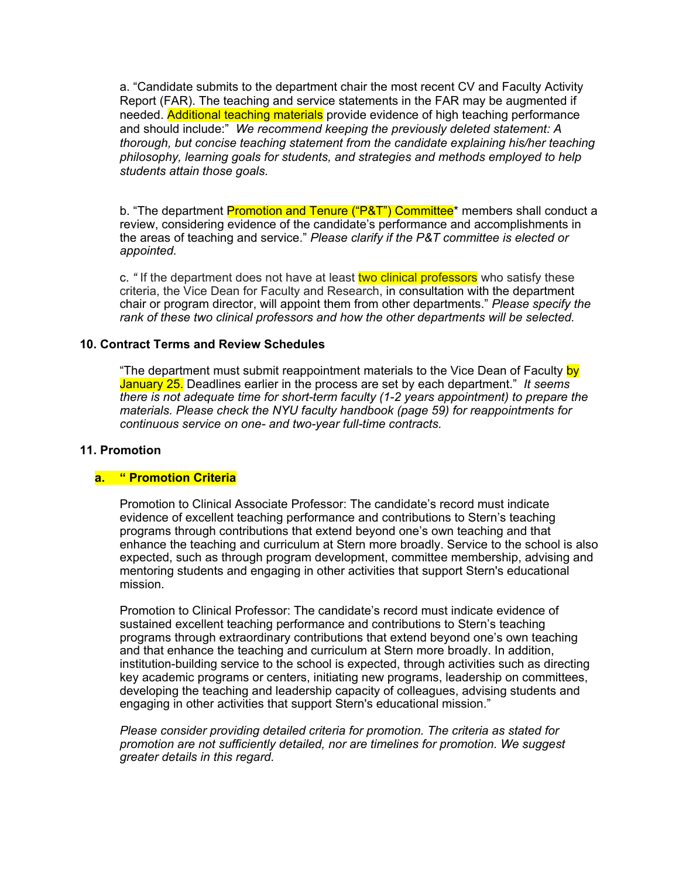a. "Candidate submits to the department chair the most recent CV and Faculty Activity Report (FAR). The teaching and service statements in the FAR may be augmented if needed. Additional teaching materials provide evidence of high teaching performance and should include:" *We recommend keeping the previously deleted statement: A thorough, but concise teaching statement from the candidate explaining his/her teaching philosophy, learning goals for students, and strategies and methods employed to help students attain those goals.*

b. "The department Promotion and Tenure ("P&T") Committee\* members shall conduct a review, considering evidence of the candidate's performance and accomplishments in the areas of teaching and service." *Please clarify if the P&T committee is elected or appointed.* 

c. *"* If the department does not have at least two clinical professors who satisfy these criteria, the Vice Dean for Faculty and Research, in consultation with the department chair or program director, will appoint them from other departments." *Please specify the rank of these two clinical professors and how the other departments will be selected.*

## **10. Contract Terms and Review Schedules**

"The department must submit reappointment materials to the Vice Dean of Faculty by January 25. Deadlines earlier in the process are set by each department." *It seems there is not adequate time for short-term faculty (1-2 years appointment) to prepare the materials. Please check the NYU faculty handbook (page 59) for reappointments for continuous service on one- and two-year full-time contracts.*

## **11. Promotion**

## **a. " Promotion Criteria**

Promotion to Clinical Associate Professor: The candidate's record must indicate evidence of excellent teaching performance and contributions to Stern's teaching programs through contributions that extend beyond one's own teaching and that enhance the teaching and curriculum at Stern more broadly. Service to the school is also expected, such as through program development, committee membership, advising and mentoring students and engaging in other activities that support Stern's educational mission.

Promotion to Clinical Professor: The candidate's record must indicate evidence of sustained excellent teaching performance and contributions to Stern's teaching programs through extraordinary contributions that extend beyond one's own teaching and that enhance the teaching and curriculum at Stern more broadly. In addition, institution-building service to the school is expected, through activities such as directing key academic programs or centers, initiating new programs, leadership on committees, developing the teaching and leadership capacity of colleagues, advising students and engaging in other activities that support Stern's educational mission."

*Please consider providing detailed criteria for promotion. The criteria as stated for promotion are not sufficiently detailed, nor are timelines for promotion. We suggest greater details in this regard.*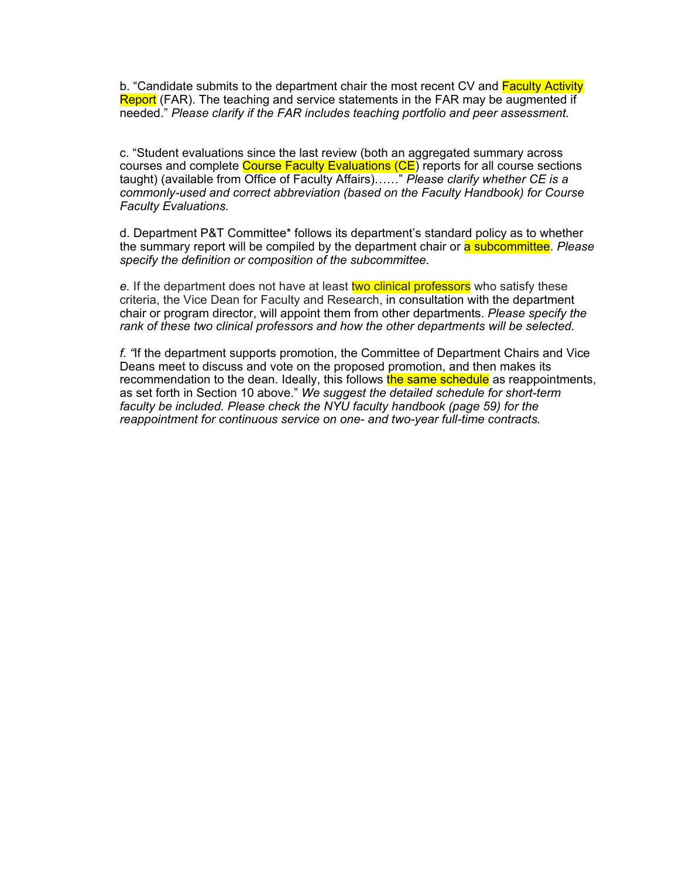b. "Candidate submits to the department chair the most recent CV and Faculty Activity Report (FAR). The teaching and service statements in the FAR may be augmented if needed." *Please clarify if the FAR includes teaching portfolio and peer assessment.* 

c. "Student evaluations since the last review (both an aggregated summary across courses and complete Course Faculty Evaluations (CE) reports for all course sections taught) (available from Office of Faculty Affairs)……" *Please clarify whether CE is a commonly-used and correct abbreviation (based on the Faculty Handbook) for Course Faculty Evaluations.*

d. Department P&T Committee\* follows its department's standard policy as to whether the summary report will be compiled by the department chair or a subcommittee. *Please specify the definition or composition of the subcommittee.*

e. If the department does not have at least two clinical professors who satisfy these criteria, the Vice Dean for Faculty and Research, in consultation with the department chair or program director, will appoint them from other departments. *Please specify the rank of these two clinical professors and how the other departments will be selected.* 

*f. "*If the department supports promotion, the Committee of Department Chairs and Vice Deans meet to discuss and vote on the proposed promotion, and then makes its recommendation to the dean. Ideally, this follows the same schedule as reappointments, as set forth in Section 10 above." *We suggest the detailed schedule for short-term faculty be included. Please check the NYU faculty handbook (page 59) for the reappointment for continuous service on one- and two-year full-time contracts.*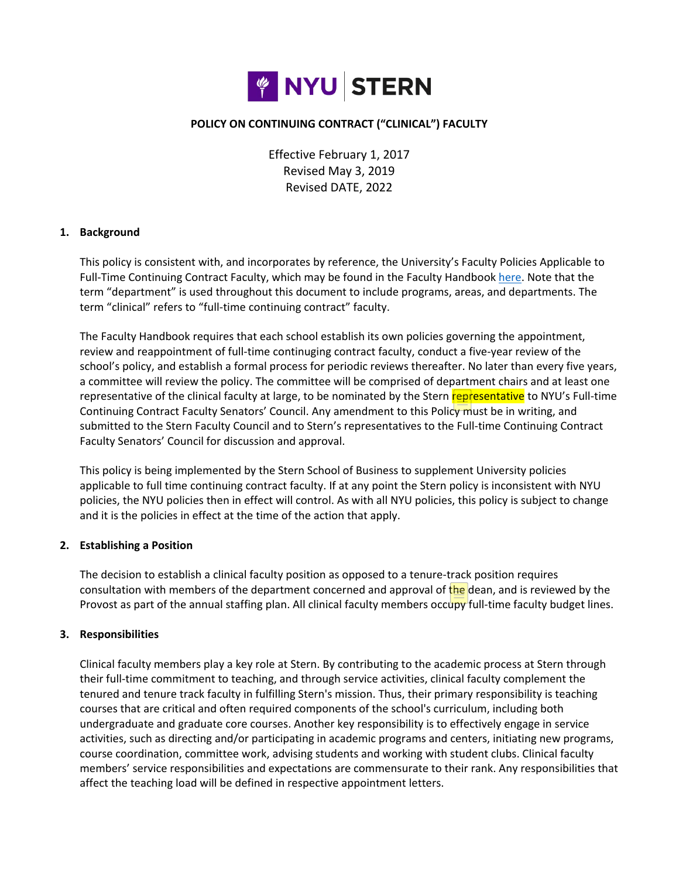

## **POLICY ON CONTINUING CONTRACT ("CLINICAL") FACULTY**

Effective February 1, 2017 Revised May 3, 2019 Revised DATE, 2022

## **1. Background**

This policy is consistent with, and incorporates by reference, the University's Faculty Policies Applicable to Full-Time Continuing Contract Faculty, which may be found in the Faculty Handbook [here.](http://www.nyu.edu/faculty/governance-policies-and-procedures/faculty-handbook/the-faculty/faculty-policies-applicable-to-full-time-continuing-contract-faculty.html) Note that the term "department" is used throughout this document to include programs, areas, and departments. The term "clinical" refers to "full-time continuing contract" faculty.

The Faculty Handbook requires that each school establish its own policies governing the appointment, review and reappointment of full-time continuging contract faculty, conduct a five-year review of the school's policy, and establish a formal process for periodic reviews thereafter. No later than every five years, a committee will review the policy. The committee will be comprised of department chairs and at least one representative of the clinical faculty at large, to be nominated by the Stern representative to NYU's Full-time Continuing Contract Faculty Senators' Council. Any amendment to this Policy must be in writing, and submitted to the Stern Faculty Council and to Stern's representatives to the Full-time Continuing Contract Faculty Senators' Council for discussion and approval.

This policy is being implemented by the Stern School of Business to supplement University policies applicable to full time continuing contract faculty. If at any point the Stern policy is inconsistent with NYU policies, the NYU policies then in effect will control. As with all NYU policies, this policy is subject to change and it is the policies in effect at the time of the action that apply.

#### **2. Establishing a Position**

The decision to establish a clinical faculty position as opposed to a tenure-track position requires consultation with members of the department concerned and approval of the dean, and is reviewed by the Provost as part of the annual staffing plan. All clinical faculty members occupy full-time faculty budget lines.

#### **3. Responsibilities**

Clinical faculty members play a key role at Stern. By contributing to the academic process at Stern through their full-time commitment to teaching, and through service activities, clinical faculty complement the tenured and tenure track faculty in fulfilling Stern's mission. Thus, their primary responsibility is teaching courses that are critical and often required components of the school's curriculum, including both undergraduate and graduate core courses. Another key responsibility is to effectively engage in service activities, such as directing and/or participating in academic programs and centers, initiating new programs, course coordination, committee work, advising students and working with student clubs. Clinical faculty members' service responsibilities and expectations are commensurate to their rank. Any responsibilities that affect the teaching load will be defined in respective appointment letters.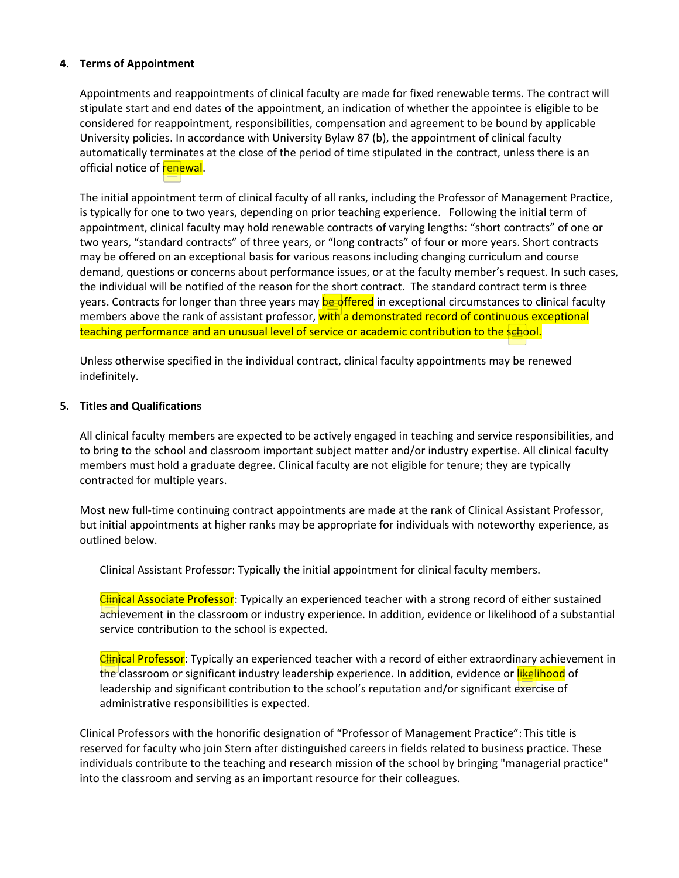### **4. Terms of Appointment**

Appointments and reappointments of clinical faculty are made for fixed renewable terms. The contract will stipulate start and end dates of the appointment, an indication of whether the appointee is eligible to be considered for reappointment, responsibilities, compensation and agreement to be bound by applicable University policies. In accordance with University Bylaw 87 (b), the appointment of clinical faculty automatically terminates at the close of the period of time stipulated in the contract, unless there is an official notice of **renewal**.

The initial appointment term of clinical faculty of all ranks, including the Professor of Management Practice, is typically for one to two years, depending on prior teaching experience. Following the initial term of appointment, clinical faculty may hold renewable contracts of varying lengths: "short contracts" of one or two years, "standard contracts" of three years, or "long contracts" of four or more years. Short contracts may be offered on an exceptional basis for various reasons including changing curriculum and course demand, questions or concerns about performance issues, or at the faculty member's request. In such cases, the individual will be notified of the reason for the short contract. The standard contract term is three years. Contracts for longer than three years may **be offered** in exceptional circumstances to clinical faculty members above the rank of assistant professor, with a demonstrated record of continuous exceptional teaching performance and an unusual level of service or academic contribution to the school.

Unless otherwise specified in the individual contract, clinical faculty appointments may be renewed indefinitely.

#### **5. Titles and Qualifications**

All clinical faculty members are expected to be actively engaged in teaching and service responsibilities, and to bring to the school and classroom important subject matter and/or industry expertise. All clinical faculty members must hold a graduate degree. Clinical faculty are not eligible for tenure; they are typically contracted for multiple years.

Most new full-time continuing contract appointments are made at the rank of Clinical Assistant Professor, but initial appointments at higher ranks may be appropriate for individuals with noteworthy experience, as outlined below.

Clinical Assistant Professor: Typically the initial appointment for clinical faculty members.

Clinical Associate Professor: Typically an experienced teacher with a strong record of either sustained achievement in the classroom or industry experience. In addition, evidence or likelihood of a substantial service contribution to the school is expected.

Clinical Professor: Typically an experienced teacher with a record of either extraordinary achievement in the classroom or significant industry leadership experience. In addition, evidence or likelihood of leadership and significant contribution to the school's reputation and/or significant exercise of administrative responsibilities is expected.

Clinical Professors with the honorific designation of "Professor of Management Practice": This title is reserved for faculty who join Stern after distinguished careers in fields related to business practice. These individuals contribute to the teaching and research mission of the school by bringing "managerial practice" into the classroom and serving as an important resource for their colleagues.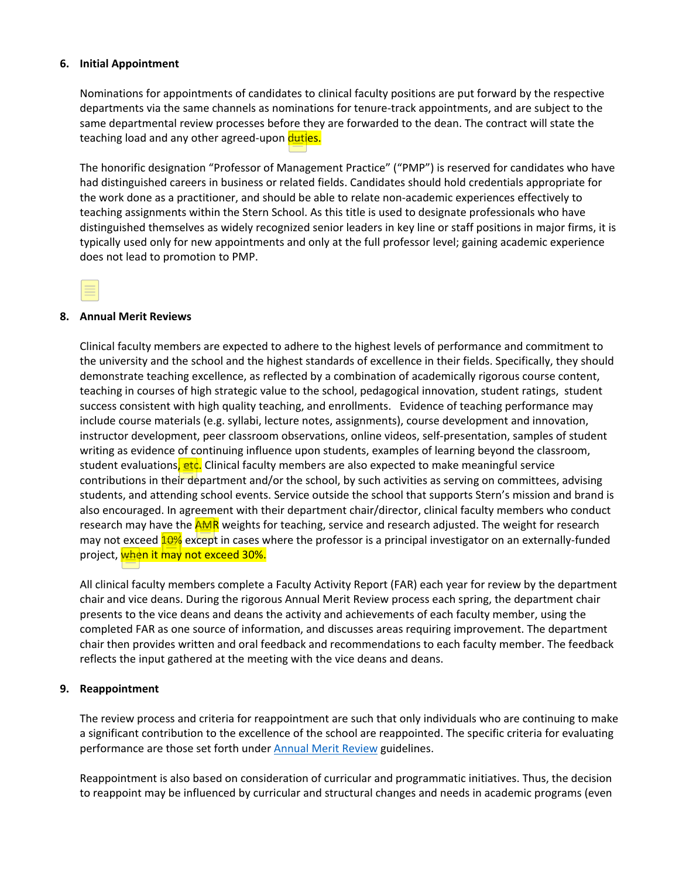### **6. Initial Appointment**

Nominations for appointments of candidates to clinical faculty positions are put forward by the respective departments via the same channels as nominations for tenure-track appointments, and are subject to the same departmental review processes before they are forwarded to the dean. The contract will state the teaching load and any other agreed-upon duties.

The honorific designation "Professor of Management Practice" ("PMP") is reserved for candidates who have had distinguished careers in business or related fields. Candidates should hold credentials appropriate for the work done as a practitioner, and should be able to relate non-academic experiences effectively to teaching assignments within the Stern School. As this title is used to designate professionals who have distinguished themselves as widely recognized senior leaders in key line or staff positions in major firms, it is typically used only for new appointments and only at the full professor level; gaining academic experience does not lead to promotion to PMP.

#### **8. Annual Merit Reviews**

Clinical faculty members are expected to adhere to the highest levels of performance and commitment to the university and the school and the highest standards of excellence in their fields. Specifically, they should demonstrate teaching excellence, as reflected by a combination of academically rigorous course content, teaching in courses of high strategic value to the school, pedagogical innovation, student ratings, student success consistent with high quality teaching, and enrollments. Evidence of teaching performance may include course materials (e.g. syllabi, lecture notes, assignments), course development and innovation, instructor development, peer classroom observations, online videos, self-presentation, samples of student writing as evidence of continuing influence upon students, examples of learning beyond the classroom, student evaluations, etc. Clinical faculty members are also expected to make meaningful service contributions in their department and/or the school, by such activities as serving on committees, advising students, and attending school events. Service outside the school that supports Stern's mission and brand is also encouraged. In agreement with their department chair/director, clinical faculty members who conduct research may have the **AMR** weights for teaching, service and research adjusted. The weight for research may not exceed 10% except in cases where the professor is a principal investigator on an externally-funded project, when it may not exceed 30%.

All clinical faculty members complete a Faculty Activity Report (FAR) each year for review by the department chair and vice deans. During the rigorous Annual Merit Review process each spring, the department chair presents to the vice deans and deans the activity and achievements of each faculty member, using the completed FAR as one source of information, and discusses areas requiring improvement. The department chair then provides written and oral feedback and recommendations to each faculty member. The feedback reflects the input gathered at the meeting with the vice deans and deans.

#### **9. Reappointment**

The review process and criteria for reappointment are such that only individuals who are continuing to make a significant contribution to the excellence of the school are reappointed. The specific criteria for evaluating performance are those set forth under **Annual Merit Review** guidelines.

Reappointment is also based on consideration of curricular and programmatic initiatives. Thus, the decision to reappoint may be influenced by curricular and structural changes and needs in academic programs (even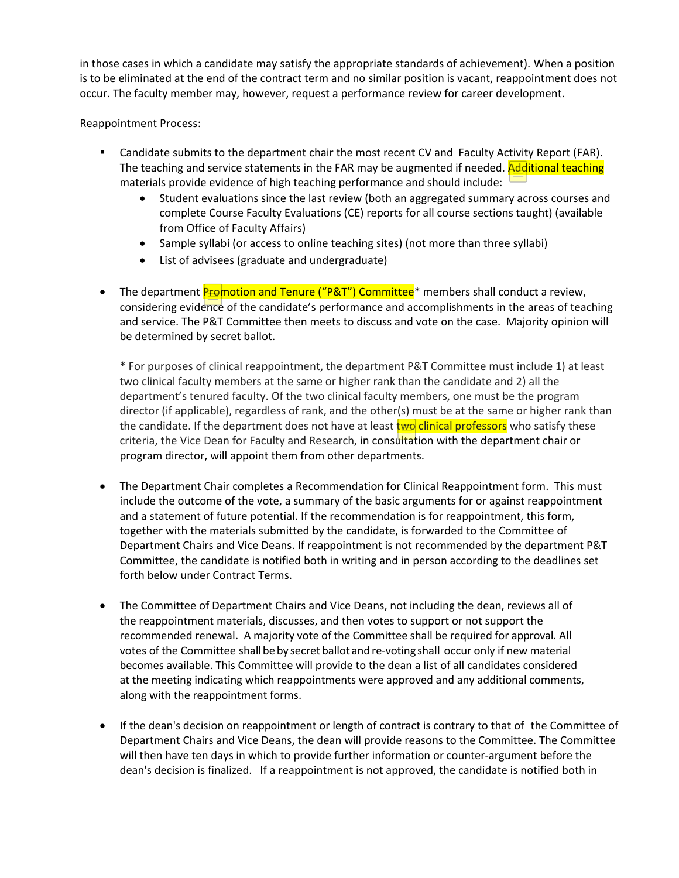in those cases in which a candidate may satisfy the appropriate standards of achievement). When a position is to be eliminated at the end of the contract term and no similar position is vacant, reappointment does not occur. The faculty member may, however, request a performance review for career development.

Reappointment Process:

- Candidate submits to the department chair the most recent CV and Faculty Activity Report (FAR). The teaching and service statements in the FAR may be augmented if needed. Additional teaching materials provide evidence of high teaching performance and should include:
	- Student evaluations since the last review (both an aggregated summary across courses and complete Course Faculty Evaluations (CE) reports for all course sections taught) (available from Office of Faculty Affairs)
	- Sample syllabi (or access to online teaching sites) (not more than three syllabi)
	- List of advisees (graduate and undergraduate)
- The department **Promotion and Tenure ("P&T") Committee**\* members shall conduct a review, considering evidence of the candidate's performance and accomplishments in the areas of teaching and service. The P&T Committee then meets to discuss and vote on the case. Majority opinion will be determined by secret ballot.

\* For purposes of clinical reappointment, the department P&T Committee must include 1) at least two clinical faculty members at the same or higher rank than the candidate and 2) all the department's tenured faculty. Of the two clinical faculty members, one must be the program director (if applicable), regardless of rank, and the other(s) must be at the same or higher rank than the candidate. If the department does not have at least two clinical professors who satisfy these criteria, the Vice Dean for Faculty and Research, in consultation with the department chair or program director, will appoint them from other departments.

- The Department Chair completes a Recommendation for Clinical Reappointment form. This must include the outcome of the vote, a summary of the basic arguments for or against reappointment and a statement of future potential. If the recommendation is for reappointment, this form, together with the materials submitted by the candidate, is forwarded to the Committee of Department Chairs and Vice Deans. If reappointment is not recommended by the department P&T Committee, the candidate is notified both in writing and in person according to the deadlines set forth below under Contract Terms.
- The Committee of Department Chairs and Vice Deans, not including the dean, reviews all of the reappointment materials, discusses, and then votes to support or not support the recommended renewal. A majority vote of the Committee shall be required for approval. All votes of the Committee shall be by secret ballot and re-voting shall occur only if new material becomes available. This Committee will provide to the dean a list of all candidates considered at the meeting indicating which reappointments were approved and any additional comments, along with the reappointment forms.
- If the dean's decision on reappointment or length of contract is contrary to that of the Committee of Department Chairs and Vice Deans, the dean will provide reasons to the Committee. The Committee will then have ten days in which to provide further information or counter-argument before the dean's decision is finalized. If a reappointment is not approved, the candidate is notified both in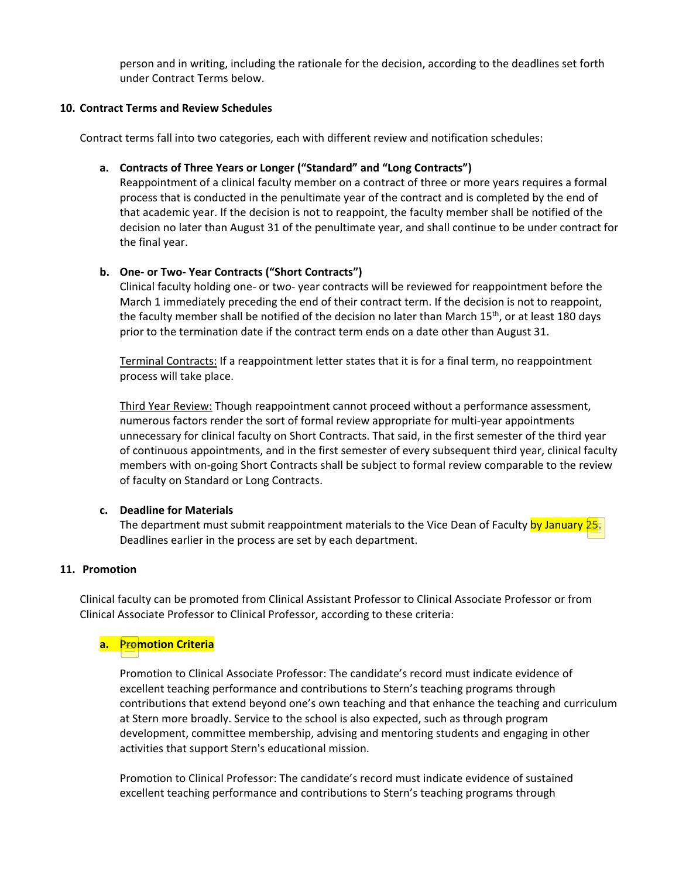person and in writing, including the rationale for the decision, according to the deadlines set forth under Contract Terms below.

### **10. Contract Terms and Review Schedules**

Contract terms fall into two categories, each with different review and notification schedules:

### **a. Contracts of Three Years or Longer ("Standard" and "Long Contracts")**

Reappointment of a clinical faculty member on a contract of three or more years requires a formal process that is conducted in the penultimate year of the contract and is completed by the end of that academic year. If the decision is not to reappoint, the faculty member shall be notified of the decision no later than August 31 of the penultimate year, and shall continue to be under contract for the final year.

## **b. One- or Two- Year Contracts ("Short Contracts")**

Clinical faculty holding one- or two- year contracts will be reviewed for reappointment before the March 1 immediately preceding the end of their contract term. If the decision is not to reappoint, the faculty member shall be notified of the decision no later than March 15<sup>th</sup>, or at least 180 days prior to the termination date if the contract term ends on a date other than August 31.

Terminal Contracts: If a reappointment letter states that it is for a final term, no reappointment process will take place.

Third Year Review: Though reappointment cannot proceed without a performance assessment, numerous factors render the sort of formal review appropriate for multi-year appointments unnecessary for clinical faculty on Short Contracts. That said, in the first semester of the third year of continuous appointments, and in the first semester of every subsequent third year, clinical faculty members with on-going Short Contracts shall be subject to formal review comparable to the review of faculty on Standard or Long Contracts.

## **c. Deadline for Materials**

The department must submit reappointment materials to the Vice Dean of Faculty by January 25. Deadlines earlier in the process are set by each department.

#### **11. Promotion**

Clinical faculty can be promoted from Clinical Assistant Professor to Clinical Associate Professor or from Clinical Associate Professor to Clinical Professor, according to these criteria:

## **a. Promotion Criteria**

Promotion to Clinical Associate Professor: The candidate's record must indicate evidence of excellent teaching performance and contributions to Stern's teaching programs through contributions that extend beyond one's own teaching and that enhance the teaching and curriculum at Stern more broadly. Service to the school is also expected, such as through program development, committee membership, advising and mentoring students and engaging in other activities that support Stern's educational mission.

Promotion to Clinical Professor: The candidate's record must indicate evidence of sustained excellent teaching performance and contributions to Stern's teaching programs through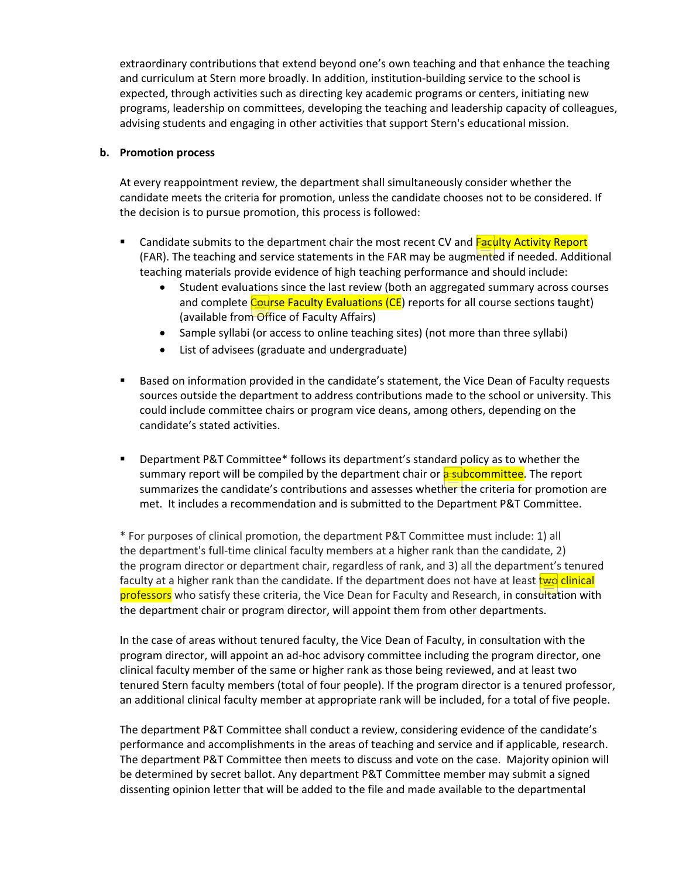extraordinary contributions that extend beyond one's own teaching and that enhance the teaching and curriculum at Stern more broadly. In addition, institution-building service to the school is expected, through activities such as directing key academic programs or centers, initiating new programs, leadership on committees, developing the teaching and leadership capacity of colleagues, advising students and engaging in other activities that support Stern's educational mission.

### **b. Promotion process**

At every reappointment review, the department shall simultaneously consider whether the candidate meets the criteria for promotion, unless the candidate chooses not to be considered. If the decision is to pursue promotion, this process is followed:

- **EXECOM 1** Candidate submits to the department chair the most recent CV and Faculty Activity Report (FAR). The teaching and service statements in the FAR may be augmented if needed. Additional teaching materials provide evidence of high teaching performance and should include:
	- Student evaluations since the last review (both an aggregated summary across courses and complete Course Faculty Evaluations (CE) reports for all course sections taught) (available from Office of Faculty Affairs)
	- Sample syllabi (or access to online teaching sites) (not more than three syllabi)
	- List of advisees (graduate and undergraduate)
- **Based on information provided in the candidate's statement, the Vice Dean of Faculty requests** sources outside the department to address contributions made to the school or university. This could include committee chairs or program vice deans, among others, depending on the candidate's stated activities.
- Department P&T Committee\* follows its department's standard policy as to whether the summary report will be compiled by the department chair or **a subcommittee**. The report summarizes the candidate's contributions and assesses whether the criteria for promotion are met. It includes a recommendation and is submitted to the Department P&T Committee.

\* For purposes of clinical promotion, the department P&T Committee must include: 1) all the department's full-time clinical faculty members at a higher rank than the candidate, 2) the program director or department chair, regardless of rank, and 3) all the department's tenured faculty at a higher rank than the candidate. If the department does not have at least two clinical professors who satisfy these criteria, the Vice Dean for Faculty and Research, in consultation with the department chair or program director, will appoint them from other departments.

In the case of areas without tenured faculty, the Vice Dean of Faculty, in consultation with the program director, will appoint an ad-hoc advisory committee including the program director, one clinical faculty member of the same or higher rank as those being reviewed, and at least two tenured Stern faculty members (total of four people). If the program director is a tenured professor, an additional clinical faculty member at appropriate rank will be included, for a total of five people.

The department P&T Committee shall conduct a review, considering evidence of the candidate's performance and accomplishments in the areas of teaching and service and if applicable, research. The department P&T Committee then meets to discuss and vote on the case. Majority opinion will be determined by secret ballot. Any department P&T Committee member may submit a signed dissenting opinion letter that will be added to the file and made available to the departmental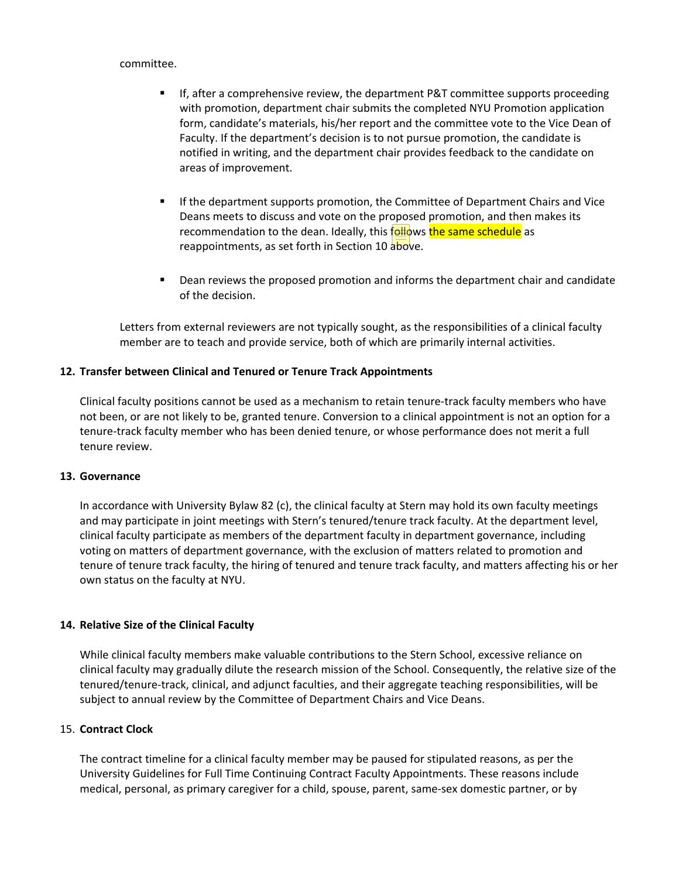committee.

- If, after a comprehensive review, the department P&T committee supports proceeding with promotion, department chair submits the completed NYU Promotion application form, candidate's materials, his/her report and the committee vote to the Vice Dean of Faculty. If the department's decision is to not pursue promotion, the candidate is notified in writing, and the department chair provides feedback to the candidate on areas of improvement.
- If the department supports promotion, the Committee of Department Chairs and Vice Deans meets to discuss and vote on the proposed promotion, and then makes its recommendation to the dean. Ideally, this follows the same schedule as reappointments, as set forth in Section 10 above.
- Dean reviews the proposed promotion and informs the department chair and candidate of the decision.

Letters from external reviewers are not typically sought, as the responsibilities of a clinical faculty member are to teach and provide service, both of which are primarily internal activities.

## **12. Transfer between Clinical and Tenured or Tenure Track Appointments**

Clinical faculty positions cannot be used as a mechanism to retain tenure-track faculty members who have not been, or are not likely to be, granted tenure. Conversion to a clinical appointment is not an option for a tenure-track faculty member who has been denied tenure, or whose performance does not merit a full tenure review.

## **13. Governance**

In accordance with University Bylaw 82 (c), the clinical faculty at Stern may hold its own faculty meetings and may participate in joint meetings with Stern's tenured/tenure track faculty. At the department level, clinical faculty participate as members of the department faculty in department governance, including voting on matters of department governance, with the exclusion of matters related to promotion and tenure of tenure track faculty, the hiring of tenured and tenure track faculty, and matters affecting his or her own status on the faculty at NYU.

## **14. Relative Size of the Clinical Faculty**

While clinical faculty members make valuable contributions to the Stern School, excessive reliance on clinical faculty may gradually dilute the research mission of the School. Consequently, the relative size of the tenured/tenure-track, clinical, and adjunct faculties, and their aggregate teaching responsibilities, will be subject to annual review by the Committee of Department Chairs and Vice Deans.

## 15. **Contract Clock**

The contract timeline for a clinical faculty member may be paused for stipulated reasons, as per the University Guidelines for Full Time Continuing Contract Faculty Appointments. These reasons include medical, personal, as primary caregiver for a child, spouse, parent, same-sex domestic partner, or by